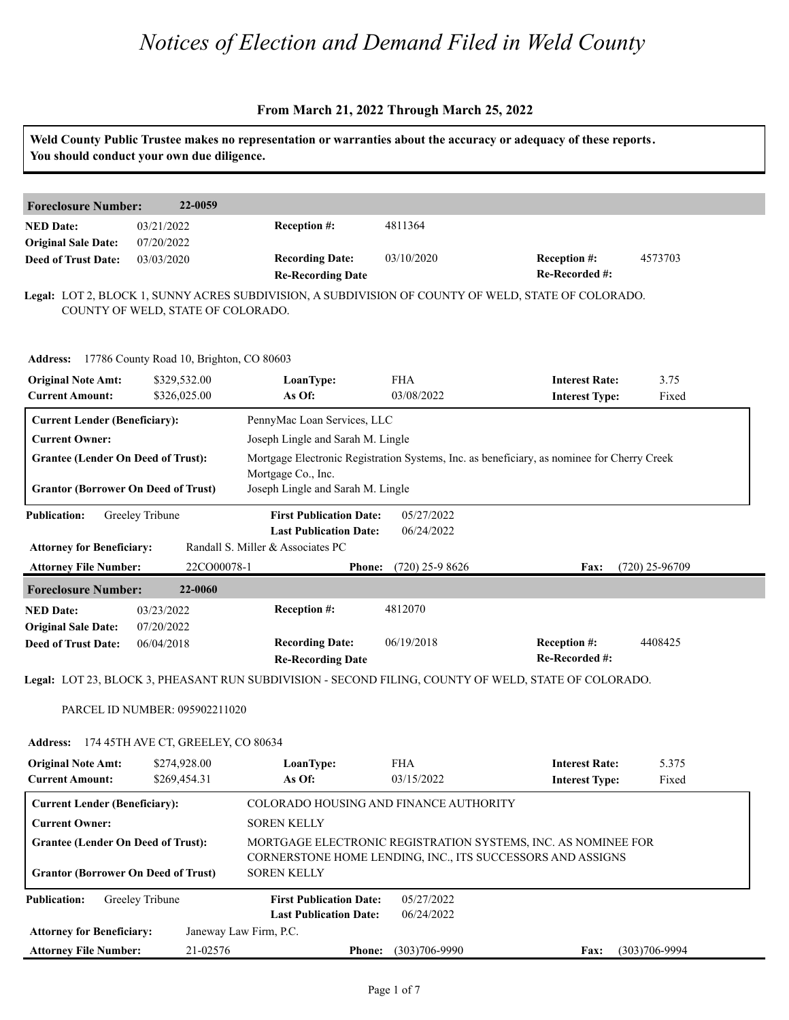|                                                                                         | You should conduct your own due diligence.        |                                                                                       |                          | Weld County Public Trustee makes no representation or warranties about the accuracy or adequacy of these reports.           |                   |
|-----------------------------------------------------------------------------------------|---------------------------------------------------|---------------------------------------------------------------------------------------|--------------------------|-----------------------------------------------------------------------------------------------------------------------------|-------------------|
| <b>Foreclosure Number:</b>                                                              | 22-0059                                           |                                                                                       |                          |                                                                                                                             |                   |
| <b>NED Date:</b>                                                                        | 03/21/2022                                        | Reception #:                                                                          | 4811364                  |                                                                                                                             |                   |
| <b>Original Sale Date:</b>                                                              | 07/20/2022                                        |                                                                                       |                          |                                                                                                                             |                   |
| <b>Deed of Trust Date:</b>                                                              | 03/03/2020                                        | <b>Recording Date:</b><br><b>Re-Recording Date</b>                                    | 03/10/2020               | <b>Reception #:</b><br>Re-Recorded #:                                                                                       | 4573703           |
|                                                                                         | COUNTY OF WELD, STATE OF COLORADO.                |                                                                                       |                          | Legal: LOT 2, BLOCK 1, SUNNY ACRES SUBDIVISION, A SUBDIVISION OF COUNTY OF WELD, STATE OF COLORADO.                         |                   |
|                                                                                         | Address: 17786 County Road 10, Brighton, CO 80603 |                                                                                       |                          |                                                                                                                             |                   |
| <b>Original Note Amt:</b><br><b>Current Amount:</b>                                     | \$329,532.00<br>\$326,025.00                      | LoanType:<br>As Of:                                                                   | <b>FHA</b><br>03/08/2022 | <b>Interest Rate:</b><br><b>Interest Type:</b>                                                                              | 3.75<br>Fixed     |
| <b>Current Lender (Beneficiary):</b>                                                    |                                                   | PennyMac Loan Services, LLC                                                           |                          |                                                                                                                             |                   |
| <b>Current Owner:</b>                                                                   |                                                   | Joseph Lingle and Sarah M. Lingle                                                     |                          |                                                                                                                             |                   |
| <b>Grantee (Lender On Deed of Trust):</b><br><b>Grantor (Borrower On Deed of Trust)</b> |                                                   | Mortgage Co., Inc.<br>Joseph Lingle and Sarah M. Lingle                               |                          | Mortgage Electronic Registration Systems, Inc. as beneficiary, as nominee for Cherry Creek                                  |                   |
| <b>Publication:</b>                                                                     | Greeley Tribune                                   | <b>First Publication Date:</b>                                                        | 05/27/2022               |                                                                                                                             |                   |
|                                                                                         |                                                   | <b>Last Publication Date:</b>                                                         | 06/24/2022               |                                                                                                                             |                   |
| <b>Attorney for Beneficiary:</b>                                                        |                                                   | Randall S. Miller & Associates PC                                                     |                          |                                                                                                                             |                   |
| <b>Attorney File Number:</b>                                                            | 22CO00078-1                                       | Phone:                                                                                | $(720)$ 25-9 8626        | <b>Fax:</b>                                                                                                                 | $(720)$ 25-96709  |
| <b>Foreclosure Number:</b>                                                              | 22-0060                                           |                                                                                       |                          |                                                                                                                             |                   |
| <b>NED Date:</b>                                                                        | 03/23/2022                                        | Reception #:                                                                          | 4812070                  |                                                                                                                             |                   |
| <b>Original Sale Date:</b>                                                              | 07/20/2022                                        |                                                                                       |                          |                                                                                                                             |                   |
| <b>Deed of Trust Date:</b>                                                              | 06/04/2018                                        | <b>Recording Date:</b><br><b>Re-Recording Date</b>                                    | 06/19/2018               | <b>Reception #:</b><br>Re-Recorded #:                                                                                       | 4408425           |
|                                                                                         |                                                   |                                                                                       |                          | Legal: LOT 23, BLOCK 3, PHEASANT RUN SUBDIVISION - SECOND FILING, COUNTY OF WELD, STATE OF COLORADO.                        |                   |
|                                                                                         |                                                   |                                                                                       |                          |                                                                                                                             |                   |
|                                                                                         | PARCEL ID NUMBER: 095902211020                    |                                                                                       |                          |                                                                                                                             |                   |
| <b>Address:</b>                                                                         | 174 45TH AVE CT, GREELEY, CO 80634                |                                                                                       |                          |                                                                                                                             |                   |
| <b>Original Note Amt:</b><br><b>Current Amount:</b>                                     | \$274,928.00<br>\$269,454.31                      | LoanType:<br>As Of:                                                                   | <b>FHA</b><br>03/15/2022 | <b>Interest Rate:</b><br><b>Interest Type:</b>                                                                              | 5.375<br>Fixed    |
| <b>Current Lender (Beneficiary):</b>                                                    |                                                   | COLORADO HOUSING AND FINANCE AUTHORITY                                                |                          |                                                                                                                             |                   |
| <b>Current Owner:</b>                                                                   |                                                   | <b>SOREN KELLY</b>                                                                    |                          |                                                                                                                             |                   |
| <b>Grantee (Lender On Deed of Trust):</b>                                               |                                                   |                                                                                       |                          | MORTGAGE ELECTRONIC REGISTRATION SYSTEMS, INC. AS NOMINEE FOR<br>CORNERSTONE HOME LENDING, INC., ITS SUCCESSORS AND ASSIGNS |                   |
| <b>Grantor (Borrower On Deed of Trust)</b><br><b>Publication:</b>                       | Greeley Tribune                                   | <b>SOREN KELLY</b><br><b>First Publication Date:</b><br><b>Last Publication Date:</b> | 05/27/2022               |                                                                                                                             |                   |
| <b>Attorney for Beneficiary:</b>                                                        |                                                   | Janeway Law Firm, P.C.                                                                | 06/24/2022               |                                                                                                                             |                   |
| <b>Attorney File Number:</b>                                                            | 21-02576                                          | <b>Phone:</b>                                                                         | $(303)706 - 9990$        | <b>Fax:</b>                                                                                                                 | $(303)706 - 9994$ |
|                                                                                         |                                                   |                                                                                       |                          |                                                                                                                             |                   |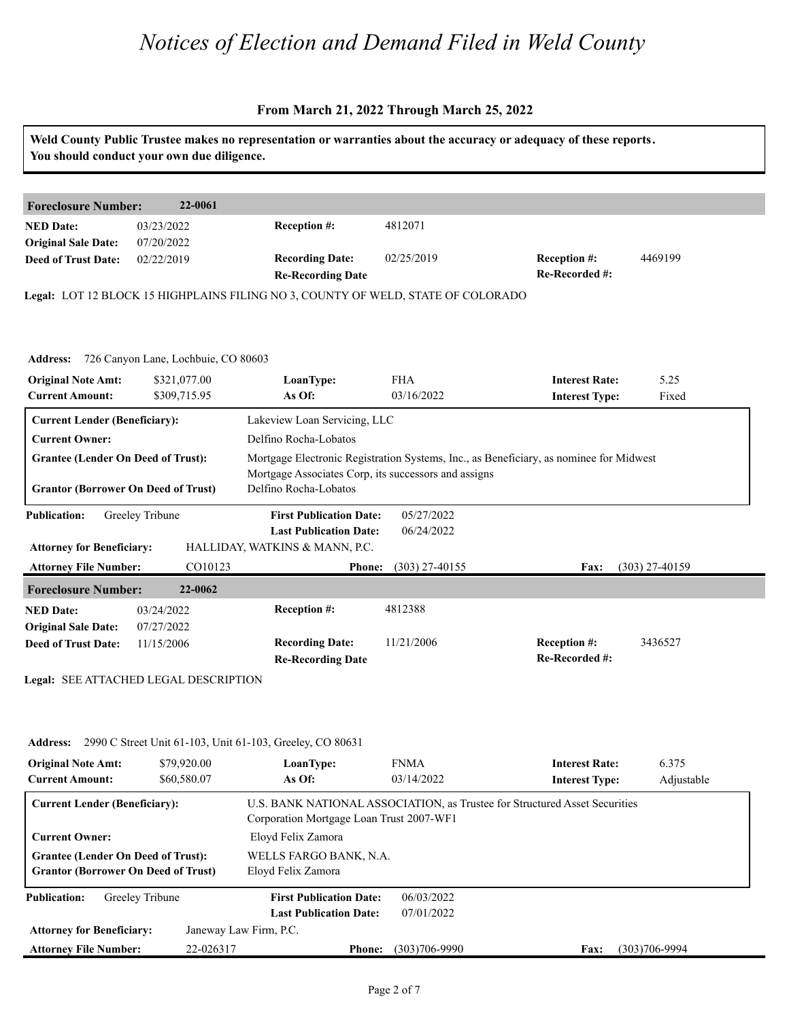#### **From March 21, 2022 Through March 25, 2022**

| You should conduct your own due diligence.                                              |                              |                                                                                  |                          | Weld County Public Trustee makes no representation or warranties about the accuracy or adequacy of these reports. |                  |
|-----------------------------------------------------------------------------------------|------------------------------|----------------------------------------------------------------------------------|--------------------------|-------------------------------------------------------------------------------------------------------------------|------------------|
| <b>Foreclosure Number:</b>                                                              | 22-0061                      |                                                                                  |                          |                                                                                                                   |                  |
| <b>NED Date:</b>                                                                        | 03/23/2022                   | Reception #:                                                                     | 4812071                  |                                                                                                                   |                  |
| <b>Original Sale Date:</b><br><b>Deed of Trust Date:</b>                                | 07/20/2022<br>02/22/2019     | <b>Recording Date:</b><br><b>Re-Recording Date</b>                               | 02/25/2019               | Reception #:<br>Re-Recorded #:                                                                                    | 4469199          |
|                                                                                         |                              | Legal: LOT 12 BLOCK 15 HIGHPLAINS FILING NO 3, COUNTY OF WELD, STATE OF COLORADO |                          |                                                                                                                   |                  |
| Address: 726 Canyon Lane, Lochbuie, CO 80603                                            |                              |                                                                                  |                          |                                                                                                                   |                  |
| <b>Original Note Amt:</b><br><b>Current Amount:</b>                                     | \$321,077.00<br>\$309,715.95 | LoanType:<br>As Of:                                                              | <b>FHA</b><br>03/16/2022 | <b>Interest Rate:</b><br><b>Interest Type:</b>                                                                    | 5.25<br>Fixed    |
| <b>Current Lender (Beneficiary):</b>                                                    |                              | Lakeview Loan Servicing, LLC                                                     |                          |                                                                                                                   |                  |
| <b>Current Owner:</b>                                                                   |                              | Delfino Rocha-Lobatos                                                            |                          |                                                                                                                   |                  |
| <b>Grantee (Lender On Deed of Trust):</b>                                               |                              |                                                                                  |                          | Mortgage Electronic Registration Systems, Inc., as Beneficiary, as nominee for Midwest                            |                  |
| <b>Grantor (Borrower On Deed of Trust)</b>                                              |                              | Mortgage Associates Corp, its successors and assigns<br>Delfino Rocha-Lobatos    |                          |                                                                                                                   |                  |
| <b>Publication:</b>                                                                     | Greeley Tribune              | <b>First Publication Date:</b><br><b>Last Publication Date:</b>                  | 05/27/2022<br>06/24/2022 |                                                                                                                   |                  |
| <b>Attorney for Beneficiary:</b>                                                        |                              | HALLIDAY, WATKINS & MANN, P.C.                                                   |                          |                                                                                                                   |                  |
| <b>Attorney File Number:</b>                                                            | CO10123                      | <b>Phone:</b>                                                                    | $(303)$ 27-40155         | Fax:                                                                                                              | $(303)$ 27-40159 |
| <b>Foreclosure Number:</b>                                                              | 22-0062                      |                                                                                  |                          |                                                                                                                   |                  |
| <b>NED Date:</b><br><b>Original Sale Date:</b>                                          | 03/24/2022                   | Reception #:                                                                     | 4812388                  |                                                                                                                   |                  |
| <b>Deed of Trust Date:</b>                                                              | 07/27/2022<br>11/15/2006     | <b>Recording Date:</b><br><b>Re-Recording Date</b>                               | 11/21/2006               | Reception #:<br>Re-Recorded #:                                                                                    | 3436527          |
| Legal: SEE ATTACHED LEGAL DESCRIPTION                                                   |                              |                                                                                  |                          |                                                                                                                   |                  |
| <b>Address:</b>                                                                         |                              | 2990 C Street Unit 61-103, Unit 61-103, Greeley, CO 80631                        |                          |                                                                                                                   |                  |
| <b>Original Note Amt:</b>                                                               | \$79,920.00                  | LoanType:                                                                        | <b>FNMA</b>              | <b>Interest Rate:</b>                                                                                             | 6.375            |
| <b>Current Amount:</b>                                                                  | \$60,580.07                  | As Of:                                                                           | 03/14/2022               | <b>Interest Type:</b>                                                                                             | Adjustable       |
| <b>Current Lender (Beneficiary):</b>                                                    |                              | Corporation Mortgage Loan Trust 2007-WF1                                         |                          | U.S. BANK NATIONAL ASSOCIATION, as Trustee for Structured Asset Securities                                        |                  |
| <b>Current Owner:</b>                                                                   |                              | Eloyd Felix Zamora                                                               |                          |                                                                                                                   |                  |
| <b>Grantee (Lender On Deed of Trust):</b><br><b>Grantor (Borrower On Deed of Trust)</b> |                              | WELLS FARGO BANK, N.A.<br>Eloyd Felix Zamora                                     |                          |                                                                                                                   |                  |
| <b>Publication:</b>                                                                     | Greeley Tribune              | <b>First Publication Date:</b><br><b>Last Publication Date:</b>                  | 06/03/2022<br>07/01/2022 |                                                                                                                   |                  |
| <b>Attorney for Beneficiary:</b>                                                        |                              | Janeway Law Firm, P.C.                                                           |                          |                                                                                                                   |                  |

**Phone: Fax:** 22-026317 (303)706-9990 (303)706-9994

**Attorney File Number:**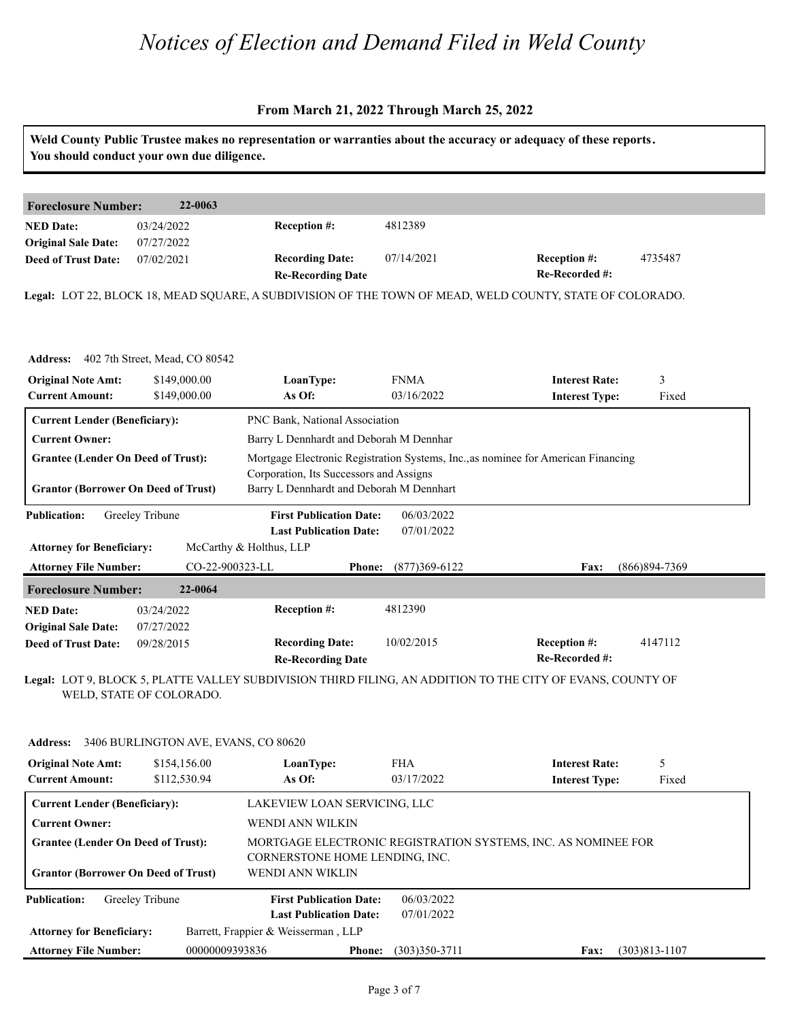| <b>Foreclosure Number:</b>                 | 22-0063                                 |                                                                                                          |                                                                                   |                                       |                |  |  |
|--------------------------------------------|-----------------------------------------|----------------------------------------------------------------------------------------------------------|-----------------------------------------------------------------------------------|---------------------------------------|----------------|--|--|
| <b>NED</b> Date:                           | 03/24/2022                              | Reception #:                                                                                             | 4812389                                                                           |                                       |                |  |  |
| <b>Original Sale Date:</b>                 | 07/27/2022                              |                                                                                                          |                                                                                   |                                       |                |  |  |
| <b>Deed of Trust Date:</b>                 | 07/02/2021                              | <b>Recording Date:</b><br><b>Re-Recording Date</b>                                                       | 07/14/2021                                                                        | <b>Reception #:</b><br>Re-Recorded #: | 4735487        |  |  |
|                                            |                                         | Legal: LOT 22, BLOCK 18, MEAD SQUARE, A SUBDIVISION OF THE TOWN OF MEAD, WELD COUNTY, STATE OF COLORADO. |                                                                                   |                                       |                |  |  |
|                                            |                                         |                                                                                                          |                                                                                   |                                       |                |  |  |
|                                            |                                         |                                                                                                          |                                                                                   |                                       |                |  |  |
|                                            | Address: 402 7th Street, Mead, CO 80542 |                                                                                                          |                                                                                   |                                       |                |  |  |
| <b>Original Note Amt:</b>                  | \$149,000.00                            | LoanType:                                                                                                | <b>FNMA</b>                                                                       | <b>Interest Rate:</b>                 | 3              |  |  |
| <b>Current Amount:</b>                     | \$149,000.00                            | As Of:                                                                                                   | 03/16/2022                                                                        | <b>Interest Type:</b>                 | Fixed          |  |  |
| <b>Current Lender (Beneficiary):</b>       |                                         | PNC Bank, National Association                                                                           |                                                                                   |                                       |                |  |  |
| <b>Current Owner:</b>                      |                                         | Barry L Dennhardt and Deborah M Dennhar                                                                  |                                                                                   |                                       |                |  |  |
| <b>Grantee (Lender On Deed of Trust):</b>  |                                         |                                                                                                          | Mortgage Electronic Registration Systems, Inc., as nominee for American Financing |                                       |                |  |  |
|                                            |                                         | Corporation, Its Successors and Assigns                                                                  |                                                                                   |                                       |                |  |  |
| <b>Grantor (Borrower On Deed of Trust)</b> |                                         | Barry L Dennhardt and Deborah M Dennhart                                                                 |                                                                                   |                                       |                |  |  |
| <b>Publication:</b>                        | Greeley Tribune                         | <b>First Publication Date:</b>                                                                           | 06/03/2022                                                                        |                                       |                |  |  |
|                                            |                                         | <b>Last Publication Date:</b>                                                                            | 07/01/2022                                                                        |                                       |                |  |  |
| <b>Attorney for Beneficiary:</b>           |                                         | McCarthy & Holthus, LLP                                                                                  |                                                                                   |                                       |                |  |  |
| <b>Attorney File Number:</b>               |                                         | CO-22-900323-LL<br><b>Phone:</b>                                                                         | $(877)369 - 6122$                                                                 | Fax:                                  | (866) 894-7369 |  |  |
|                                            | 22-0064                                 |                                                                                                          |                                                                                   |                                       |                |  |  |
| <b>Foreclosure Number:</b>                 | 03/24/2022                              | Reception #:                                                                                             | 4812390                                                                           |                                       |                |  |  |
| <b>NED Date:</b>                           | 07/27/2022                              |                                                                                                          |                                                                                   |                                       |                |  |  |
| <b>Original Sale Date:</b>                 |                                         | <b>Recording Date:</b>                                                                                   | 10/02/2015                                                                        | <b>Reception #:</b>                   | 4147112        |  |  |
| <b>Deed of Trust Date:</b>                 | 09/28/2015                              | <b>Re-Recording Date</b>                                                                                 |                                                                                   | Re-Recorded #:                        |                |  |  |

| <b>Address:</b>                                     |                                                                                         | 3406 BURLINGTON AVE, EVANS, CO 80620               |               |                          |                                                               |                   |  |
|-----------------------------------------------------|-----------------------------------------------------------------------------------------|----------------------------------------------------|---------------|--------------------------|---------------------------------------------------------------|-------------------|--|
| <b>Original Note Amt:</b><br><b>Current Amount:</b> | \$154,156.00<br>\$112,530.94                                                            | LoanType:<br>As Of:                                |               | <b>FHA</b><br>03/17/2022 | <b>Interest Rate:</b><br><b>Interest Type:</b>                | 5<br>Fixed        |  |
|                                                     | <b>Current Lender (Beneficiary):</b>                                                    | LAKEVIEW LOAN SERVICING, LLC                       |               |                          |                                                               |                   |  |
| <b>Current Owner:</b>                               |                                                                                         | WENDI ANN WILKIN                                   |               |                          |                                                               |                   |  |
|                                                     | <b>Grantee (Lender On Deed of Trust):</b><br><b>Grantor (Borrower On Deed of Trust)</b> | CORNERSTONE HOME LENDING, INC.<br>WENDI ANN WIKLIN |               |                          | MORTGAGE ELECTRONIC REGISTRATION SYSTEMS, INC. AS NOMINEE FOR |                   |  |
| <b>Publication:</b>                                 | Greeley Tribune                                                                         | <b>First Publication Date:</b>                     |               | 06/03/2022               |                                                               |                   |  |
|                                                     |                                                                                         | <b>Last Publication Date:</b>                      |               | 07/01/2022               |                                                               |                   |  |
| <b>Attorney for Beneficiary:</b>                    |                                                                                         | Barrett, Frappier & Weisserman, LLP                |               |                          |                                                               |                   |  |
| <b>Attorney File Number:</b>                        |                                                                                         | 00000009393836                                     | <b>Phone:</b> | $(303)350 - 3711$        | Fax:                                                          | $(303)813 - 1107$ |  |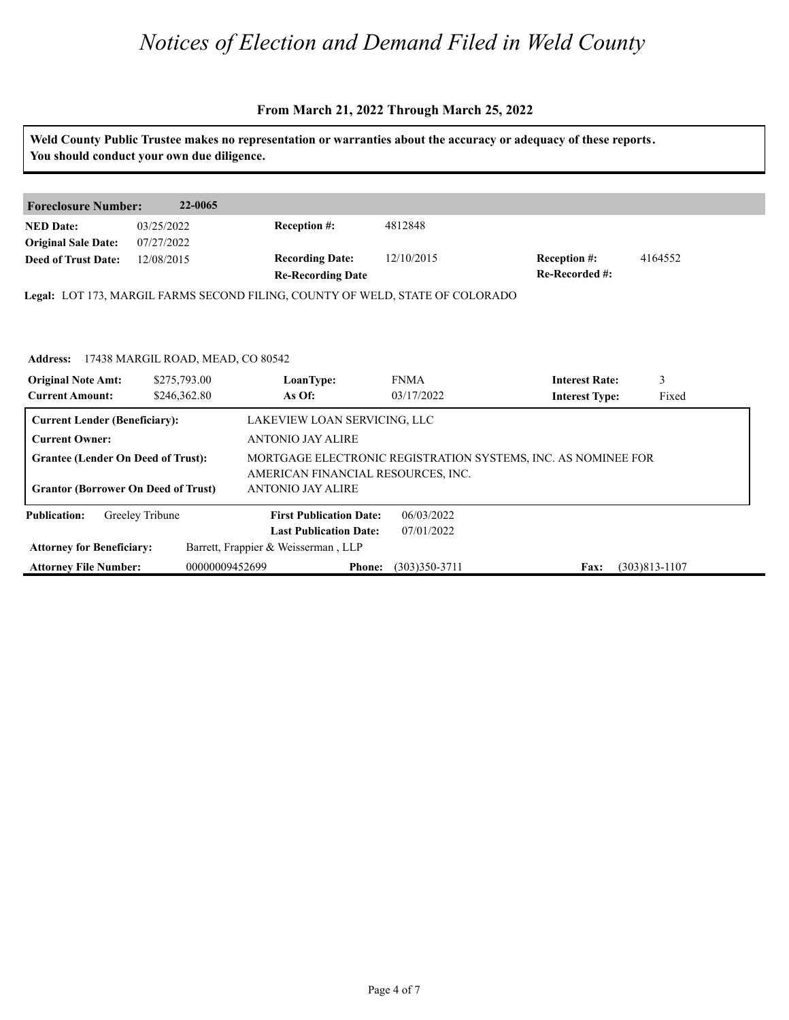#### **From March 21, 2022 Through March 25, 2022**

**Weld County Public Trustee makes no representation or warranties about the accuracy or adequacy of these reports. You should conduct your own due diligence. Foreclosure Number: 22-0065 NED Date: Re-Recorded #: Reception #:** 12/10/2015 4164552 **Re-Recording Date Recording Date: Reception #: Deed of Trust Date:**<br>**Deed of Trust Date: Legal:** LOT 173, MARGIL FARMS SECOND FILING, COUNTY OF WELD, STATE OF COLORADO 03/25/2022 07/27/2022 12/08/2015 4812848 Address: 17438 MARGIL ROAD, MEAD, CO 80542<br>**Original Note Amt: 18275,793.00** LoanType: F.<br>Current Amount: 18246,362.80 **As Of:** 0. **IoanType:** FNMA **Interest Rate:** 3<br> **As Of:** 03/17/2022 **Interest Type:** Fixed **LoanType:** \$275,793.00 \$246,362.80 FNMA **Interest Rate:** 03/17/2022 **Interest Type:** 3 Fixed **Current Lender (Beneficiary):** LAKEVIEW LOAN SERVICING, LLC **Current Owner:** ANTONIO JAY ALIRE **Grantee (Lender On Deed of Trust):** MORTGAGE ELECTRONIC REGISTRATION SYSTEMS, INC. AS NOMINEE FOR AMERICAN FINANCIAL RESOURCES, INC. **Grantor (Borrower On Deed of Trust)** ANTONIO JAY ALIRE **Publication: Attorney for Beneficiary: Attorney File Number: Last Publication Date: Phone:** (303)350-3711 **Fax:** (303)813-1107 **First Publication Date:** Barrett, Frappier & Weisserman , LLP 06/03/2022 07/01/2022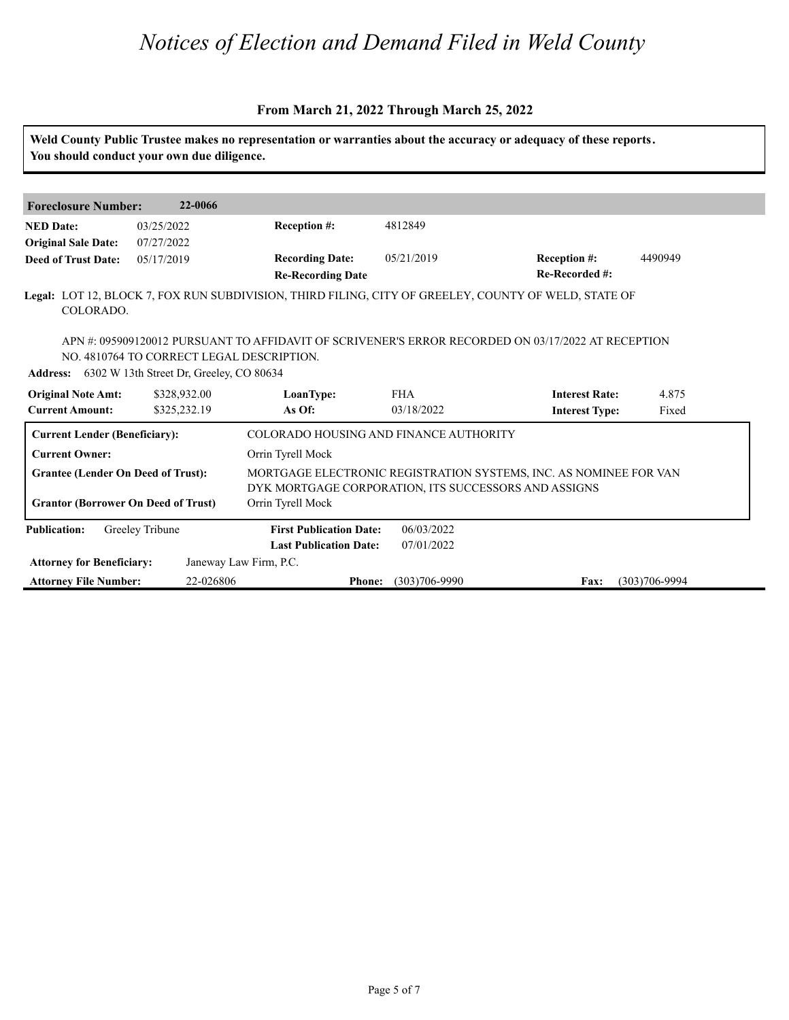|                                                                                                                                                                         |                                                                                                |                                                                                                      |                          | Weld County Public Trustee makes no representation or warranties about the accuracy or adequacy of these reports. |                |
|-------------------------------------------------------------------------------------------------------------------------------------------------------------------------|------------------------------------------------------------------------------------------------|------------------------------------------------------------------------------------------------------|--------------------------|-------------------------------------------------------------------------------------------------------------------|----------------|
|                                                                                                                                                                         | You should conduct your own due diligence.                                                     |                                                                                                      |                          |                                                                                                                   |                |
| <b>Foreclosure Number:</b>                                                                                                                                              | 22-0066                                                                                        |                                                                                                      |                          |                                                                                                                   |                |
| <b>NED Date:</b><br><b>Original Sale Date:</b>                                                                                                                          | 03/25/2022<br>07/27/2022                                                                       | <b>Reception #:</b>                                                                                  | 4812849                  |                                                                                                                   |                |
| <b>Deed of Trust Date:</b>                                                                                                                                              | 05/17/2019                                                                                     | <b>Recording Date:</b><br><b>Re-Recording Date</b>                                                   | 05/21/2019               | Reception #:<br>Re-Recorded #:                                                                                    | 4490949        |
| COLORADO.                                                                                                                                                               |                                                                                                | Legal: LOT 12, BLOCK 7, FOX RUN SUBDIVISION, THIRD FILING, CITY OF GREELEY, COUNTY OF WELD, STATE OF |                          |                                                                                                                   |                |
|                                                                                                                                                                         |                                                                                                | APN#: 095909120012 PURSUANT TO AFFIDAVIT OF SCRIVENER'S ERROR RECORDED ON 03/17/2022 AT RECEPTION    |                          |                                                                                                                   |                |
|                                                                                                                                                                         | NO. 4810764 TO CORRECT LEGAL DESCRIPTION.<br>Address: 6302 W 13th Street Dr, Greeley, CO 80634 |                                                                                                      |                          |                                                                                                                   |                |
|                                                                                                                                                                         | \$328,932.00                                                                                   | LoanType:<br>As Of:                                                                                  | <b>FHA</b><br>03/18/2022 | <b>Interest Rate:</b>                                                                                             | 4.875<br>Fixed |
| <b>Current Lender (Beneficiary):</b>                                                                                                                                    | \$325,232.19                                                                                   | COLORADO HOUSING AND FINANCE AUTHORITY                                                               |                          | <b>Interest Type:</b>                                                                                             |                |
| <b>Original Note Amt:</b><br><b>Current Amount:</b><br><b>Current Owner:</b><br><b>Grantee (Lender On Deed of Trust):</b><br><b>Grantor (Borrower On Deed of Trust)</b> |                                                                                                | Orrin Tyrell Mock<br>DYK MORTGAGE CORPORATION, ITS SUCCESSORS AND ASSIGNS<br>Orrin Tyrell Mock       |                          | MORTGAGE ELECTRONIC REGISTRATION SYSTEMS, INC. AS NOMINEE FOR VAN                                                 |                |
| <b>Publication:</b>                                                                                                                                                     | Greeley Tribune                                                                                | <b>First Publication Date:</b><br><b>Last Publication Date:</b>                                      | 06/03/2022<br>07/01/2022 |                                                                                                                   |                |
| <b>Attorney for Beneficiary:</b>                                                                                                                                        |                                                                                                | Janeway Law Firm, P.C.                                                                               |                          |                                                                                                                   |                |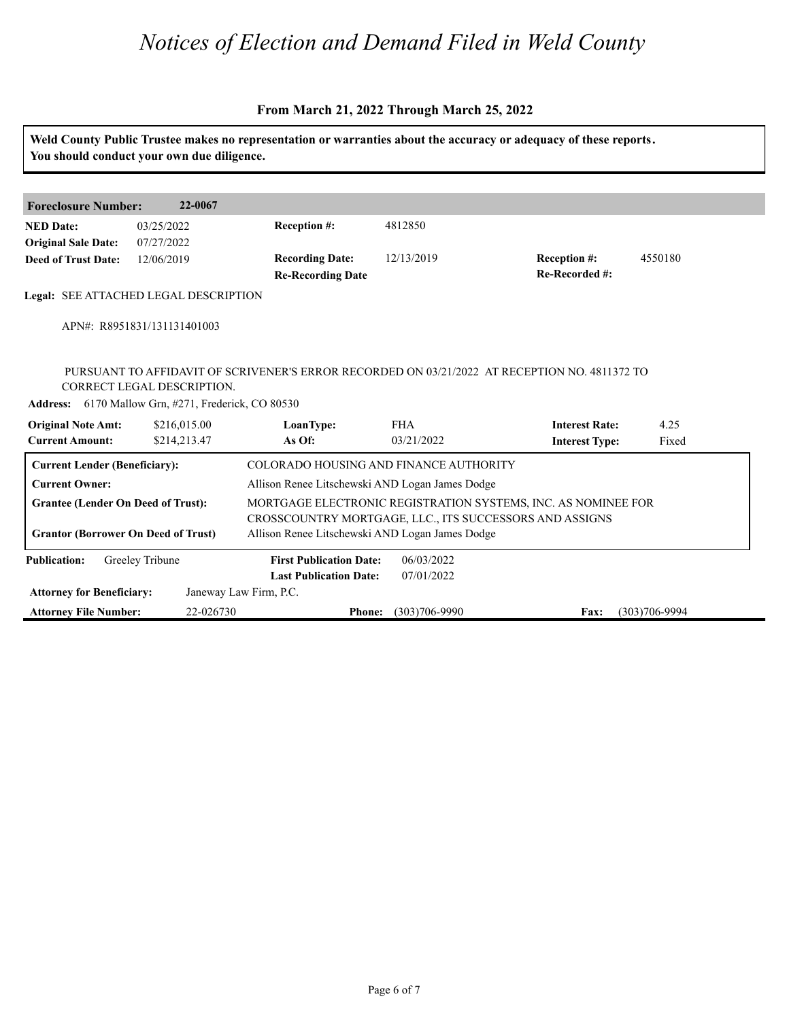| <b>Foreclosure Number:</b>                          | 22-0067                                                                           |                                                    |            |                                                                                               |         |
|-----------------------------------------------------|-----------------------------------------------------------------------------------|----------------------------------------------------|------------|-----------------------------------------------------------------------------------------------|---------|
| <b>NED Date:</b><br><b>Original Sale Date:</b>      | 03/25/2022<br>07/27/2022                                                          | Reception #:                                       | 4812850    |                                                                                               |         |
| <b>Deed of Trust Date:</b>                          | 12/06/2019                                                                        | <b>Recording Date:</b><br><b>Re-Recording Date</b> | 12/13/2019 | Reception #:<br>Re-Recorded #:                                                                | 4550180 |
|                                                     | Legal: SEE ATTACHED LEGAL DESCRIPTION                                             |                                                    |            |                                                                                               |         |
|                                                     | APN#: R8951831/131131401003                                                       |                                                    |            |                                                                                               |         |
|                                                     |                                                                                   |                                                    |            |                                                                                               |         |
|                                                     | CORRECT LEGAL DESCRIPTION.<br>Address: 6170 Mallow Grn, #271, Frederick, CO 80530 |                                                    |            | PURSUANT TO AFFIDAVIT OF SCRIVENER'S ERROR RECORDED ON 03/21/2022 AT RECEPTION NO. 4811372 TO |         |
|                                                     | \$216,015.00                                                                      | LoanType:                                          | <b>FHA</b> | <b>Interest Rate:</b>                                                                         | 4.25    |
| <b>Original Note Amt:</b><br><b>Current Amount:</b> | \$214,213.47                                                                      | As Of:                                             | 03/21/2022 | <b>Interest Type:</b>                                                                         | Fixed   |
| <b>Current Lender (Beneficiary):</b>                |                                                                                   | COLORADO HOUSING AND FINANCE AUTHORITY             |            |                                                                                               |         |
| <b>Current Owner:</b>                               |                                                                                   | Allison Renee Litschewski AND Logan James Dodge    |            |                                                                                               |         |
| <b>Grantee (Lender On Deed of Trust):</b>           |                                                                                   |                                                    |            | MORTGAGE ELECTRONIC REGISTRATION SYSTEMS, INC. AS NOMINEE FOR                                 |         |
|                                                     |                                                                                   |                                                    |            | CROSSCOUNTRY MORTGAGE, LLC., ITS SUCCESSORS AND ASSIGNS                                       |         |
| <b>Grantor (Borrower On Deed of Trust)</b>          |                                                                                   | Allison Renee Litschewski AND Logan James Dodge    |            |                                                                                               |         |
| <b>Publication:</b>                                 | Greeley Tribune                                                                   | <b>First Publication Date:</b>                     | 06/03/2022 |                                                                                               |         |
|                                                     |                                                                                   | <b>Last Publication Date:</b>                      | 07/01/2022 |                                                                                               |         |
| <b>Attorney for Beneficiary:</b>                    |                                                                                   | Janeway Law Firm, P.C.                             |            |                                                                                               |         |